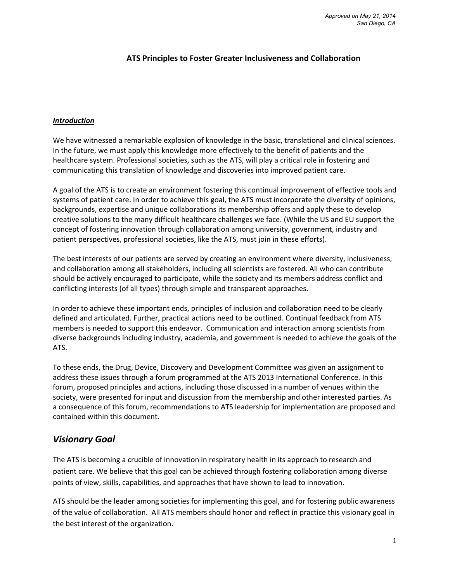#### **ATS Principles to Foster Greater Inclusiveness and Collaboration**

#### *Introduction*

We have witnessed a remarkable explosion of knowledge in the basic, translational and clinical sciences. In the future, we must apply this knowledge more effectively to the benefit of patients and the healthcare system. Professional societies, such as the ATS, will play a critical role in fostering and communicating this translation of knowledge and discoveries into improved patient care.

A goal of the ATS is to create an environment fostering this continual improvement of effective tools and systems of patient care. In order to achieve this goal, the ATS must incorporate the diversity of opinions, backgrounds, expertise and unique collaborations its membership offers and apply these to develop creative solutions to the many difficult healthcare challenges we face. (While the US and EU support the concept of fostering innovation through collaboration among university, government, industry and patient perspectives, professional societies, like the ATS, must join in these efforts).

The best interests of our patients are served by creating an environment where diversity, inclusiveness, and collaboration among all stakeholders, including all scientists are fostered. All who can contribute should be actively encouraged to participate, while the society and its members address conflict and conflicting interests (of all types) through simple and transparent approaches.

In order to achieve these important ends, principles of inclusion and collaboration need to be clearly defined and articulated. Further, practical actions need to be outlined. Continual feedback from ATS members is needed to support this endeavor. Communication and interaction among scientists from diverse backgrounds including industry, academia, and government is needed to achieve the goals of the ATS.

To these ends, the Drug, Device, Discovery and Development Committee was given an assignment to address these issues through a forum programmed at the ATS 2013 International Conference. In this forum, proposed principles and actions, including those discussed in a number of venues within the society, were presented for input and discussion from the membership and other interested parties. As a consequence of this forum, recommendations to ATS leadership for implementation are proposed and contained within this document.

# *Visionary Goal*

The ATS is becoming a crucible of innovation in respiratory health in its approach to research and patient care. We believe that this goal can be achieved through fostering collaboration among diverse points of view, skills, capabilities, and approaches that have shown to lead to innovation.

ATS should be the leader among societies for implementing this goal, and for fostering public awareness of the value of collaboration. All ATS members should honor and reflect in practice this visionary goal in the best interest of the organization.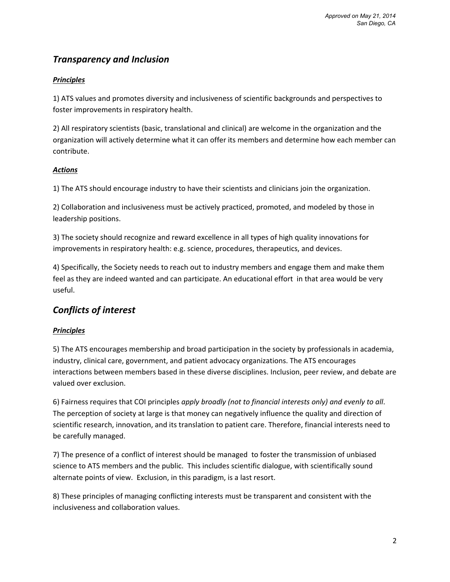# *Transparency and Inclusion*

### *Principles*

1) ATS values and promotes diversity and inclusiveness of scientific backgrounds and perspectives to foster improvements in respiratory health.

2) All respiratory scientists (basic, translational and clinical) are welcome in the organization and the organization will actively determine what it can offer its members and determine how each member can contribute.

### *Actions*

1) The ATS should encourage industry to have their scientists and clinicians join the organization.

2) Collaboration and inclusiveness must be actively practiced, promoted, and modeled by those in leadership positions.

3) The society should recognize and reward excellence in all types of high quality innovations for improvements in respiratory health: e.g. science, procedures, therapeutics, and devices.

4) Specifically, the Society needs to reach out to industry members and engage them and make them feel as they are indeed wanted and can participate. An educational effort in that area would be very useful.

# *Conflicts of interest*

### *Principles*

5) The ATS encourages membership and broad participation in the society by professionals in academia, industry, clinical care, government, and patient advocacy organizations. The ATS encourages interactions between members based in these diverse disciplines. Inclusion, peer review, and debate are valued over exclusion.

6) Fairness requires that COI principles *apply broadly (not to financial interests only) and evenly to all*. The perception of society at large is that money can negatively influence the quality and direction of scientific research, innovation, and its translation to patient care. Therefore, financial interests need to be carefully managed.

7) The presence of a conflict of interest should be managed to foster the transmission of unbiased science to ATS members and the public. This includes scientific dialogue, with scientifically sound alternate points of view. Exclusion, in this paradigm, is a last resort.

8) These principles of managing conflicting interests must be transparent and consistent with the inclusiveness and collaboration values.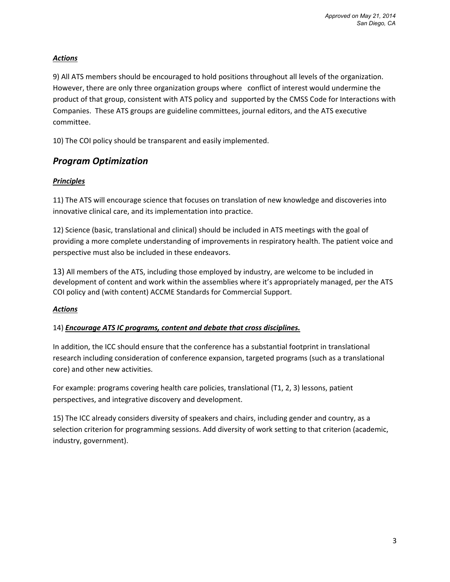### *Actions*

9) All ATS members should be encouraged to hold positions throughout all levels of the organization. However, there are only three organization groups where conflict of interest would undermine the product of that group, consistent with ATS policy and supported by the CMSS Code for Interactions with Companies. These ATS groups are guideline committees, journal editors, and the ATS executive committee.

10) The COI policy should be transparent and easily implemented.

# *Program Optimization*

### *Principles*

11) The ATS will encourage science that focuses on translation of new knowledge and discoveries into innovative clinical care, and its implementation into practice.

12) Science (basic, translational and clinical) should be included in ATS meetings with the goal of providing a more complete understanding of improvements in respiratory health. The patient voice and perspective must also be included in these endeavors.

13) All members of the ATS, including those employed by industry, are welcome to be included in development of content and work within the assemblies where it's appropriately managed, per the ATS COI policy and (with content) ACCME Standards for Commercial Support.

#### *Actions*

#### 14) *Encourage ATS IC programs, content and debate that cross disciplines.*

In addition, the ICC should ensure that the conference has a substantial footprint in translational research including consideration of conference expansion, targeted programs (such as a translational core) and other new activities.

For example: programs covering health care policies, translational (T1, 2, 3) lessons, patient perspectives, and integrative discovery and development.

15) The ICC already considers diversity of speakers and chairs, including gender and country, as a selection criterion for programming sessions. Add diversity of work setting to that criterion (academic, industry, government).